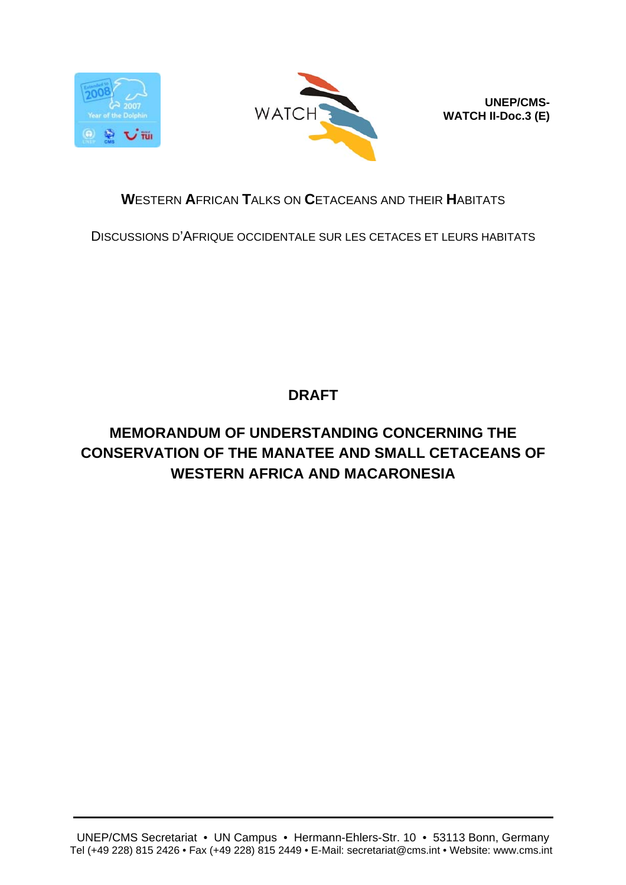



**UNEP/CMS-WATCH II-Doc.3 (E)**

### **W**ESTERN **A**FRICAN **T**ALKS ON **C**ETACEANS AND THEIR **H**ABITATS

DISCUSSIONS D'AFRIQUE OCCIDENTALE SUR LES CETACES ET LEURS HABITATS

# **DRAFT**

# **MEMORANDUM OF UNDERSTANDING CONCERNING THE CONSERVATION OF THE MANATEE AND SMALL CETACEANS OF WESTERN AFRICA AND MACARONESIA**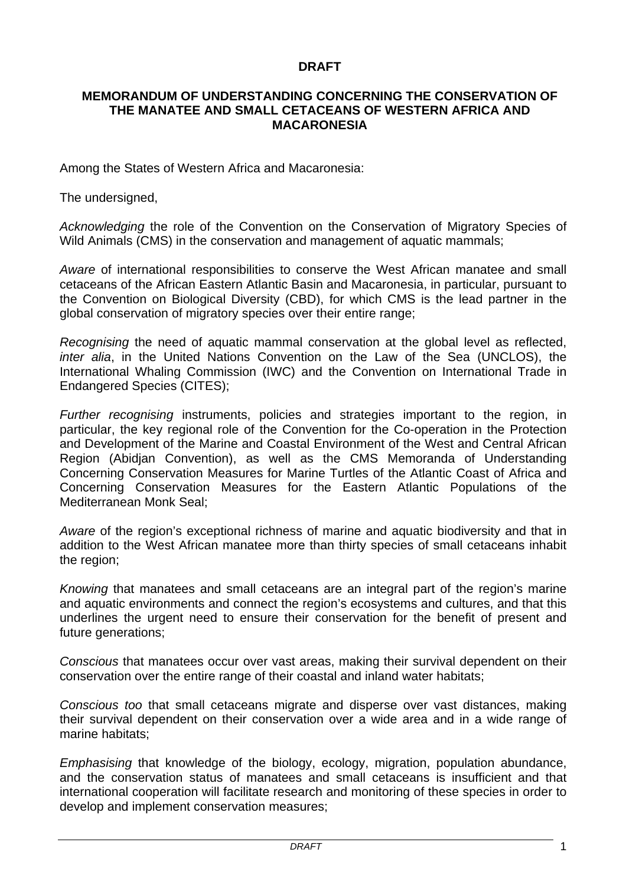#### **DRAFT**

#### **MEMORANDUM OF UNDERSTANDING CONCERNING THE CONSERVATION OF THE MANATEE AND SMALL CETACEANS OF WESTERN AFRICA AND MACARONESIA**

Among the States of Western Africa and Macaronesia:

The undersigned,

*Acknowledging* the role of the Convention on the Conservation of Migratory Species of Wild Animals (CMS) in the conservation and management of aquatic mammals;

*Aware* of international responsibilities to conserve the West African manatee and small cetaceans of the African Eastern Atlantic Basin and Macaronesia, in particular, pursuant to the Convention on Biological Diversity (CBD), for which CMS is the lead partner in the global conservation of migratory species over their entire range;

*Recognising* the need of aquatic mammal conservation at the global level as reflected, *inter alia*, in the United Nations Convention on the Law of the Sea (UNCLOS), the International Whaling Commission (IWC) and the Convention on International Trade in Endangered Species (CITES);

*Further recognising* instruments, policies and strategies important to the region, in particular, the key regional role of the Convention for the Co-operation in the Protection and Development of the Marine and Coastal Environment of the West and Central African Region (Abidjan Convention), as well as the CMS Memoranda of Understanding Concerning Conservation Measures for Marine Turtles of the Atlantic Coast of Africa and Concerning Conservation Measures for the Eastern Atlantic Populations of the Mediterranean Monk Seal;

*Aware* of the region's exceptional richness of marine and aquatic biodiversity and that in addition to the West African manatee more than thirty species of small cetaceans inhabit the region;

*Knowing* that manatees and small cetaceans are an integral part of the region's marine and aquatic environments and connect the region's ecosystems and cultures, and that this underlines the urgent need to ensure their conservation for the benefit of present and future generations;

*Conscious* that manatees occur over vast areas, making their survival dependent on their conservation over the entire range of their coastal and inland water habitats;

*Conscious too* that small cetaceans migrate and disperse over vast distances, making their survival dependent on their conservation over a wide area and in a wide range of marine habitats;

*Emphasising* that knowledge of the biology, ecology, migration, population abundance, and the conservation status of manatees and small cetaceans is insufficient and that international cooperation will facilitate research and monitoring of these species in order to develop and implement conservation measures;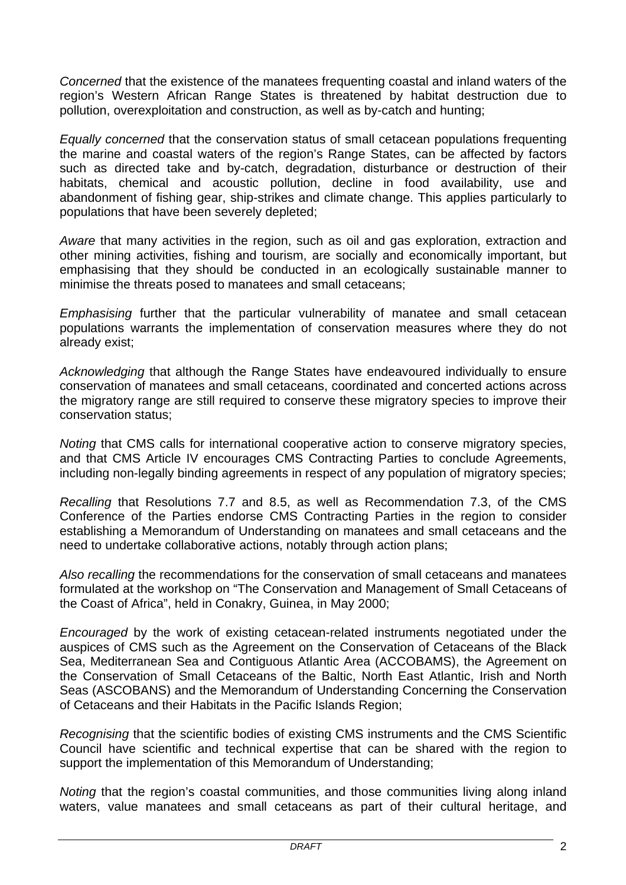*Concerned* that the existence of the manatees frequenting coastal and inland waters of the region's Western African Range States is threatened by habitat destruction due to pollution, overexploitation and construction, as well as by-catch and hunting;

*Equally concerned* that the conservation status of small cetacean populations frequenting the marine and coastal waters of the region's Range States, can be affected by factors such as directed take and by-catch, degradation, disturbance or destruction of their habitats, chemical and acoustic pollution, decline in food availability, use and abandonment of fishing gear, ship-strikes and climate change. This applies particularly to populations that have been severely depleted;

*Aware* that many activities in the region, such as oil and gas exploration, extraction and other mining activities, fishing and tourism, are socially and economically important, but emphasising that they should be conducted in an ecologically sustainable manner to minimise the threats posed to manatees and small cetaceans;

*Emphasising* further that the particular vulnerability of manatee and small cetacean populations warrants the implementation of conservation measures where they do not already exist;

*Acknowledging* that although the Range States have endeavoured individually to ensure conservation of manatees and small cetaceans, coordinated and concerted actions across the migratory range are still required to conserve these migratory species to improve their conservation status;

*Noting* that CMS calls for international cooperative action to conserve migratory species, and that CMS Article IV encourages CMS Contracting Parties to conclude Agreements, including non-legally binding agreements in respect of any population of migratory species;

*Recalling* that Resolutions 7.7 and 8.5, as well as Recommendation 7.3, of the CMS Conference of the Parties endorse CMS Contracting Parties in the region to consider establishing a Memorandum of Understanding on manatees and small cetaceans and the need to undertake collaborative actions, notably through action plans;

*Also recalling* the recommendations for the conservation of small cetaceans and manatees formulated at the workshop on "The Conservation and Management of Small Cetaceans of the Coast of Africa", held in Conakry, Guinea, in May 2000;

*Encouraged* by the work of existing cetacean-related instruments negotiated under the auspices of CMS such as the Agreement on the Conservation of Cetaceans of the Black Sea, Mediterranean Sea and Contiguous Atlantic Area (ACCOBAMS), the Agreement on the Conservation of Small Cetaceans of the Baltic, North East Atlantic, Irish and North Seas (ASCOBANS) and the Memorandum of Understanding Concerning the Conservation of Cetaceans and their Habitats in the Pacific Islands Region;

*Recognising* that the scientific bodies of existing CMS instruments and the CMS Scientific Council have scientific and technical expertise that can be shared with the region to support the implementation of this Memorandum of Understanding;

*Noting* that the region's coastal communities, and those communities living along inland waters, value manatees and small cetaceans as part of their cultural heritage, and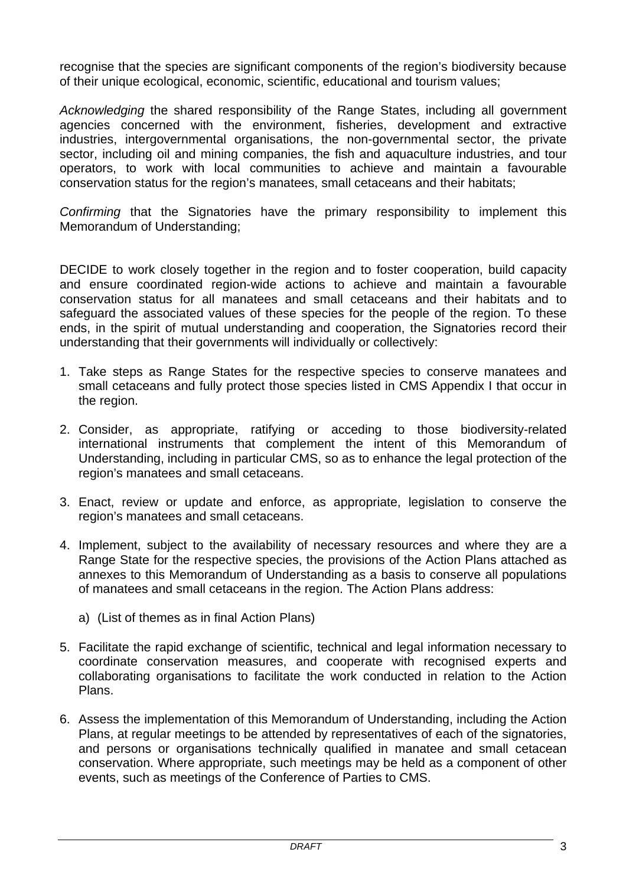recognise that the species are significant components of the region's biodiversity because of their unique ecological, economic, scientific, educational and tourism values;

*Acknowledging* the shared responsibility of the Range States, including all government agencies concerned with the environment, fisheries, development and extractive industries, intergovernmental organisations, the non-governmental sector, the private sector, including oil and mining companies, the fish and aquaculture industries, and tour operators, to work with local communities to achieve and maintain a favourable conservation status for the region's manatees, small cetaceans and their habitats;

*Confirming* that the Signatories have the primary responsibility to implement this Memorandum of Understanding;

DECIDE to work closely together in the region and to foster cooperation, build capacity and ensure coordinated region-wide actions to achieve and maintain a favourable conservation status for all manatees and small cetaceans and their habitats and to safeguard the associated values of these species for the people of the region. To these ends, in the spirit of mutual understanding and cooperation, the Signatories record their understanding that their governments will individually or collectively:

- 1. Take steps as Range States for the respective species to conserve manatees and small cetaceans and fully protect those species listed in CMS Appendix I that occur in the region.
- 2. Consider, as appropriate, ratifying or acceding to those biodiversity-related international instruments that complement the intent of this Memorandum of Understanding, including in particular CMS, so as to enhance the legal protection of the region's manatees and small cetaceans.
- 3. Enact, review or update and enforce, as appropriate, legislation to conserve the region's manatees and small cetaceans.
- 4. Implement, subject to the availability of necessary resources and where they are a Range State for the respective species, the provisions of the Action Plans attached as annexes to this Memorandum of Understanding as a basis to conserve all populations of manatees and small cetaceans in the region. The Action Plans address:
	- a) (List of themes as in final Action Plans)
- 5. Facilitate the rapid exchange of scientific, technical and legal information necessary to coordinate conservation measures, and cooperate with recognised experts and collaborating organisations to facilitate the work conducted in relation to the Action Plans.
- 6. Assess the implementation of this Memorandum of Understanding, including the Action Plans, at regular meetings to be attended by representatives of each of the signatories, and persons or organisations technically qualified in manatee and small cetacean conservation. Where appropriate, such meetings may be held as a component of other events, such as meetings of the Conference of Parties to CMS.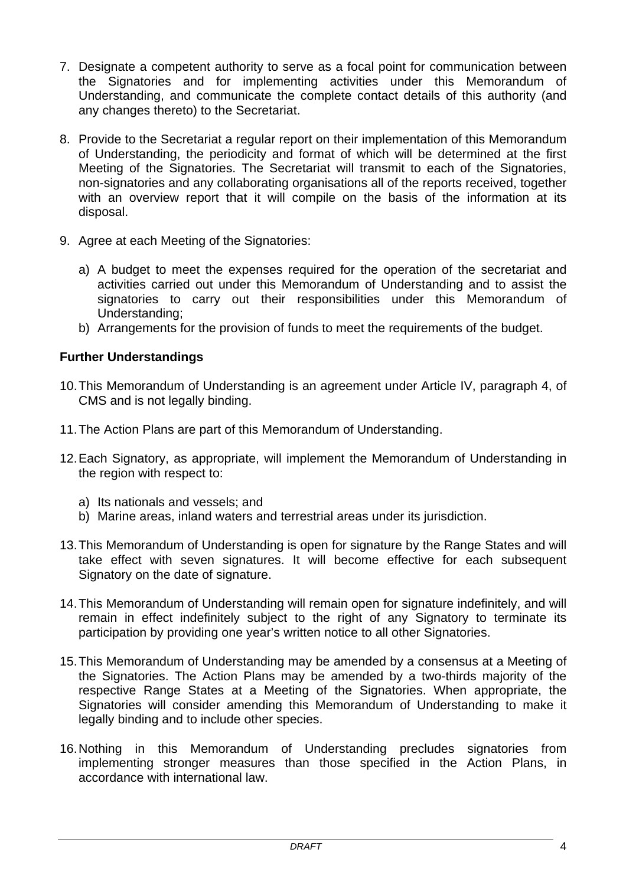- 7. Designate a competent authority to serve as a focal point for communication between the Signatories and for implementing activities under this Memorandum of Understanding, and communicate the complete contact details of this authority (and any changes thereto) to the Secretariat.
- 8. Provide to the Secretariat a regular report on their implementation of this Memorandum of Understanding, the periodicity and format of which will be determined at the first Meeting of the Signatories. The Secretariat will transmit to each of the Signatories, non-signatories and any collaborating organisations all of the reports received, together with an overview report that it will compile on the basis of the information at its disposal.
- 9. Agree at each Meeting of the Signatories:
	- a) A budget to meet the expenses required for the operation of the secretariat and activities carried out under this Memorandum of Understanding and to assist the signatories to carry out their responsibilities under this Memorandum of Understanding;
	- b) Arrangements for the provision of funds to meet the requirements of the budget.

### **Further Understandings**

- 10. This Memorandum of Understanding is an agreement under Article IV, paragraph 4, of CMS and is not legally binding.
- 11. The Action Plans are part of this Memorandum of Understanding.
- 12. Each Signatory, as appropriate, will implement the Memorandum of Understanding in the region with respect to:
	- a) Its nationals and vessels; and
	- b) Marine areas, inland waters and terrestrial areas under its jurisdiction.
- 13. This Memorandum of Understanding is open for signature by the Range States and will take effect with seven signatures. It will become effective for each subsequent Signatory on the date of signature.
- 14. This Memorandum of Understanding will remain open for signature indefinitely, and will remain in effect indefinitely subject to the right of any Signatory to terminate its participation by providing one year's written notice to all other Signatories.
- 15. This Memorandum of Understanding may be amended by a consensus at a Meeting of the Signatories. The Action Plans may be amended by a two-thirds majority of the respective Range States at a Meeting of the Signatories. When appropriate, the Signatories will consider amending this Memorandum of Understanding to make it legally binding and to include other species.
- 16. Nothing in this Memorandum of Understanding precludes signatories from implementing stronger measures than those specified in the Action Plans, in accordance with international law.